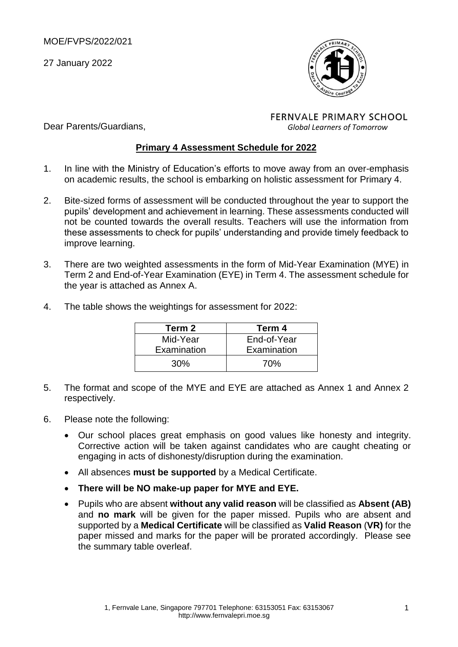Dear Parents/Guardians,

27 January 2022



**FERNVALE PRIMARY SCHOOL** *Global Learners of Tomorrow*

### **Primary 4 Assessment Schedule for 2022**

- 1. In line with the Ministry of Education's efforts to move away from an over-emphasis on academic results, the school is embarking on holistic assessment for Primary 4.
- 2. Bite-sized forms of assessment will be conducted throughout the year to support the pupils' development and achievement in learning. These assessments conducted will not be counted towards the overall results. Teachers will use the information from these assessments to check for pupils' understanding and provide timely feedback to improve learning.
- 3. There are two weighted assessments in the form of Mid-Year Examination (MYE) in Term 2 and End-of-Year Examination (EYE) in Term 4. The assessment schedule for the year is attached as Annex A.
	- **Term 2 Term 4** Mid-Year Examination End-of-Year Examination
- 4. The table shows the weightings for assessment for 2022:

5. The format and scope of the MYE and EYE are attached as Annex 1 and Annex 2 respectively.

30% 70%

- 6. Please note the following:
	- Our school places great emphasis on good values like honesty and integrity. Corrective action will be taken against candidates who are caught cheating or engaging in acts of dishonesty/disruption during the examination.
	- All absences **must be supported** by a Medical Certificate.
	- **There will be NO make-up paper for MYE and EYE.**
	- Pupils who are absent **without any valid reason** will be classified as **Absent (AB)** and **no mark** will be given for the paper missed. Pupils who are absent and supported by a **Medical Certificate** will be classified as **Valid Reason** (**VR)** for the paper missed and marks for the paper will be prorated accordingly. Please see the summary table overleaf.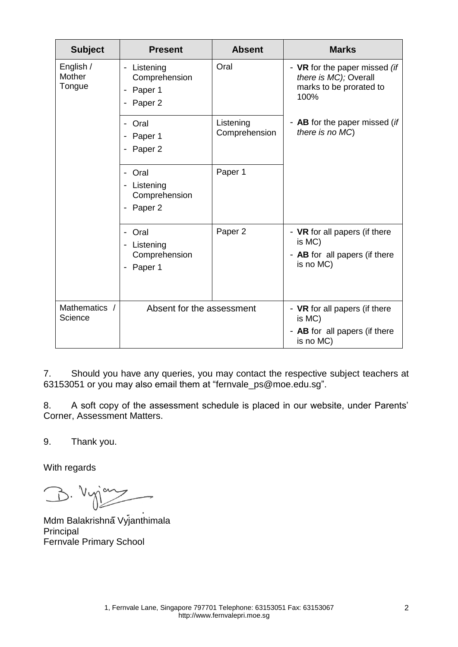| <b>Subject</b>                | <b>Present</b>                                                                         | <b>Absent</b>              | <b>Marks</b>                                                                              |
|-------------------------------|----------------------------------------------------------------------------------------|----------------------------|-------------------------------------------------------------------------------------------|
| English /<br>Mother<br>Tongue | Listening<br>$\overline{\phantom{0}}$<br>Comprehension<br>Paper 1<br>-<br>Paper 2      | Oral                       | - VR for the paper missed (if<br>there is MC); Overall<br>marks to be prorated to<br>100% |
|                               | Oral<br>$\overline{\phantom{0}}$<br>Paper 1<br>Paper <sub>2</sub>                      | Listening<br>Comprehension | - AB for the paper missed (if<br>there is no MC)                                          |
|                               | Oral<br>$\overline{\phantom{0}}$<br>- Listening<br>Comprehension<br>Paper <sub>2</sub> | Paper 1                    |                                                                                           |
|                               | Oral<br>-<br>Listening<br>-<br>Comprehension<br>Paper 1<br>-                           | Paper 2                    | - VR for all papers (if there<br>is MC)<br>- AB for all papers (if there<br>is no MC)     |
| Mathematics /<br>Science      | Absent for the assessment                                                              |                            | - VR for all papers (if there<br>is MC)<br>- AB for all papers (if there<br>is no MC)     |

7. Should you have any queries, you may contact the respective subject teachers at 63153051 or you may also email them at ["fernvale\\_ps@moe.edu.sg"](mailto:fernvale_ps@moe.edu.sg).

8. A soft copy of the assessment schedule is placed in our website, under Parents' Corner, Assessment Matters.

9. Thank you.

With regards

B. Vyjany

Mdm Balakrishna Vyjanthimala Principal Fernvale Primary School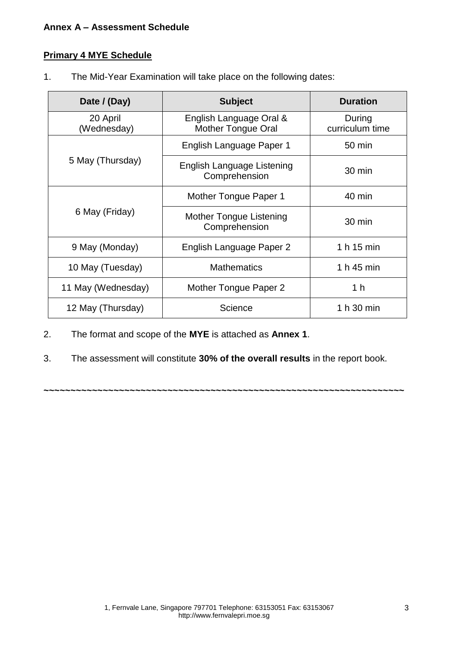### **Annex A – Assessment Schedule**

### **Primary 4 MYE Schedule**

1. The Mid-Year Examination will take place on the following dates:

| Date / (Day)            | <b>Subject</b>                                       | <b>Duration</b>           |
|-------------------------|------------------------------------------------------|---------------------------|
| 20 April<br>(Wednesday) | English Language Oral &<br><b>Mother Tongue Oral</b> | During<br>curriculum time |
|                         | English Language Paper 1                             | 50 min                    |
| 5 May (Thursday)        | English Language Listening<br>Comprehension          | 30 min                    |
|                         | Mother Tongue Paper 1                                | 40 min                    |
| 6 May (Friday)          | Mother Tongue Listening<br>Comprehension             | 30 min                    |
| 9 May (Monday)          | English Language Paper 2                             | 1 h 15 min                |
| 10 May (Tuesday)        | <b>Mathematics</b>                                   | 1 h 45 min                |
| 11 May (Wednesday)      | Mother Tongue Paper 2                                | 1 h                       |
| 12 May (Thursday)       | Science                                              | 1 h 30 min                |

- 2. The format and scope of the **MYE** is attached as **Annex 1**.
- 3. The assessment will constitute **30% of the overall results** in the report book.

**~~~~~~~~~~~~~~~~~~~~~~~~~~~~~~~~~~~~~~~~~~~~~~~~~~~~~~~~~~~~~~~~~~~**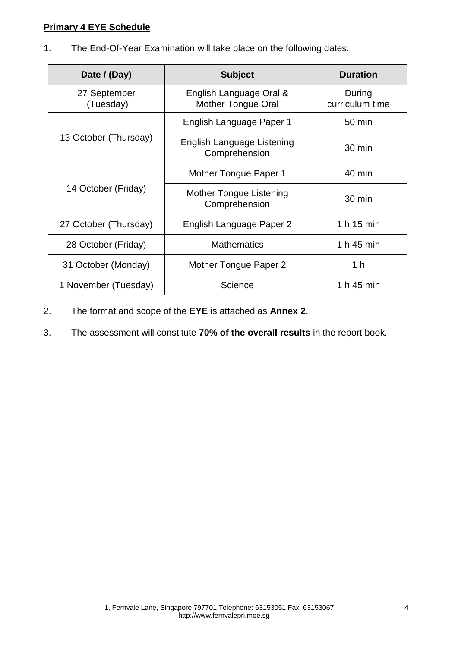### **Primary 4 EYE Schedule**

1. The End-Of-Year Examination will take place on the following dates:

| Date / (Day)              | <b>Subject</b>                                       | <b>Duration</b>           |
|---------------------------|------------------------------------------------------|---------------------------|
| 27 September<br>(Tuesday) | English Language Oral &<br><b>Mother Tongue Oral</b> | During<br>curriculum time |
|                           | English Language Paper 1                             | $50 \text{ min}$          |
| 13 October (Thursday)     | English Language Listening<br>Comprehension          | 30 min                    |
|                           | Mother Tongue Paper 1                                | 40 min                    |
| 14 October (Friday)       | Mother Tongue Listening<br>Comprehension             | 30 min                    |
| 27 October (Thursday)     | English Language Paper 2                             | 1 h 15 min                |
| 28 October (Friday)       | <b>Mathematics</b>                                   | 1 h 45 min                |
| 31 October (Monday)       | Mother Tongue Paper 2                                | 1 <sub>h</sub>            |
| 1 November (Tuesday)      | Science                                              | 1 h 45 min                |

- 2. The format and scope of the **EYE** is attached as **Annex 2**.
- 3. The assessment will constitute **70% of the overall results** in the report book.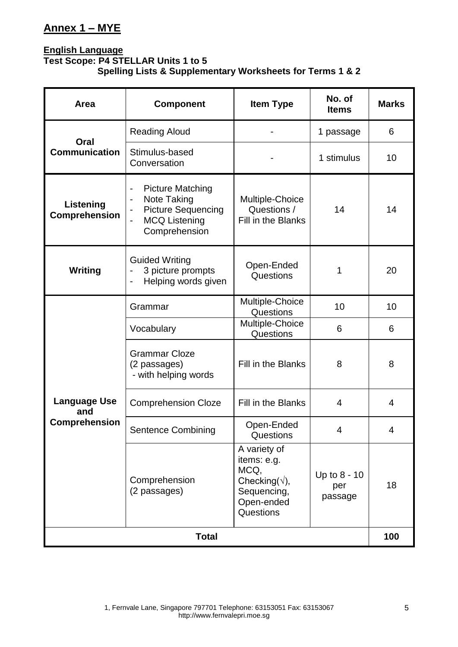# **Annex 1 – MYE**

### **English Language Test Scope: P4 STELLAR Units 1 to 5 Spelling Lists & Supplementary Worksheets for Terms 1 & 2**

| Area                                                                                                                                                                                                              | <b>Component</b>                                                                                  | <b>Item Type</b>                                                                                        | No. of<br><b>Items</b>         | <b>Marks</b>   |
|-------------------------------------------------------------------------------------------------------------------------------------------------------------------------------------------------------------------|---------------------------------------------------------------------------------------------------|---------------------------------------------------------------------------------------------------------|--------------------------------|----------------|
| Oral                                                                                                                                                                                                              | <b>Reading Aloud</b>                                                                              |                                                                                                         | 1 passage                      | 6              |
| <b>Communication</b>                                                                                                                                                                                              | Stimulus-based<br>Conversation                                                                    |                                                                                                         | 1 stimulus                     | 10             |
| <b>Picture Matching</b><br>$\qquad \qquad \blacksquare$<br>Note Taking<br>$\qquad \qquad \blacksquare$<br>Listening<br><b>Picture Sequencing</b><br><b>Comprehension</b><br><b>MCQ Listening</b><br>Comprehension |                                                                                                   | Multiple-Choice<br>Questions /<br>Fill in the Blanks                                                    | 14                             | 14             |
| Writing                                                                                                                                                                                                           | <b>Guided Writing</b><br>3 picture prompts<br>Helping words given<br>$\qquad \qquad \blacksquare$ | Open-Ended<br>Questions                                                                                 | 1                              | 20             |
|                                                                                                                                                                                                                   | Grammar                                                                                           | Multiple-Choice<br>Questions                                                                            | 10                             | 10             |
|                                                                                                                                                                                                                   | Vocabulary                                                                                        | Multiple-Choice<br>Questions                                                                            | 6                              | 6              |
|                                                                                                                                                                                                                   | <b>Grammar Cloze</b><br>(2 passages)<br>- with helping words                                      | Fill in the Blanks                                                                                      | 8                              | 8              |
| <b>Language Use</b><br>and                                                                                                                                                                                        | <b>Comprehension Cloze</b>                                                                        | Fill in the Blanks                                                                                      | $\overline{4}$                 | $\overline{4}$ |
| Comprehension                                                                                                                                                                                                     | <b>Sentence Combining</b>                                                                         | Open-Ended<br>Questions                                                                                 | Δ                              | Δ              |
|                                                                                                                                                                                                                   | Comprehension<br>(2 passages)                                                                     | A variety of<br>items: e.g.<br>MCQ,<br>Checking( $\forall$ ),<br>Sequencing,<br>Open-ended<br>Questions | Up to 8 - 10<br>per<br>passage | 18             |
|                                                                                                                                                                                                                   | <b>Total</b>                                                                                      |                                                                                                         |                                | 100            |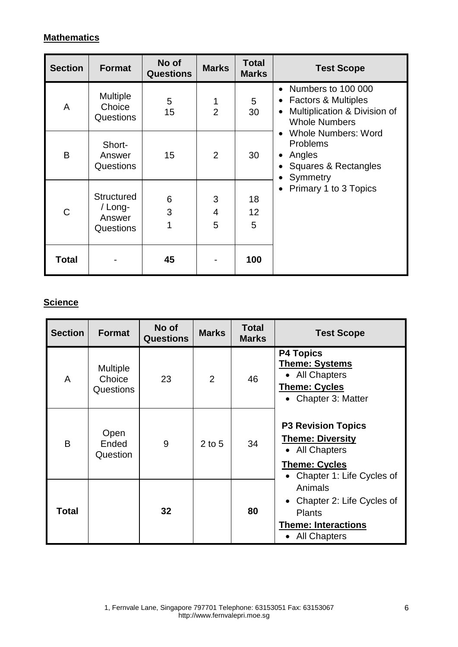## **Mathematics**

| <b>Section</b> | <b>Format</b>                                              | No of<br><b>Questions</b> | <b>Marks</b>        | <b>Total</b><br><b>Marks</b> | <b>Test Scope</b>                                                                                                                        |
|----------------|------------------------------------------------------------|---------------------------|---------------------|------------------------------|------------------------------------------------------------------------------------------------------------------------------------------|
| A              | <b>Multiple</b><br>Choice<br>Questions                     | 5<br>15                   | 1<br>$\overline{2}$ | 5<br>30                      | • Numbers to 100 000<br><b>Factors &amp; Multiples</b><br>$\bullet$<br>Multiplication & Division of<br>$\bullet$<br><b>Whole Numbers</b> |
| B              | Short-<br>Answer<br>Questions                              | 15                        | 2                   | 30                           | <b>Whole Numbers: Word</b><br>$\bullet$<br><b>Problems</b><br>Angles<br>Squares & Rectangles<br>Symmetry                                 |
| C              | <b>Structured</b><br>/ Long-<br>Answer<br><b>Questions</b> | 6<br>3<br>1               | 3<br>4<br>5         | 18<br>12<br>5                | Primary 1 to 3 Topics                                                                                                                    |
| Total          |                                                            | 45                        |                     | 100                          |                                                                                                                                          |

# **Science**

| <b>Section</b> | <b>Format</b>                                 | No of<br><b>Questions</b> | <b>Marks</b>   | <b>Total</b><br><b>Marks</b> | <b>Test Scope</b>                                                                                                           |
|----------------|-----------------------------------------------|---------------------------|----------------|------------------------------|-----------------------------------------------------------------------------------------------------------------------------|
| A              | <b>Multiple</b><br>Choice<br><b>Questions</b> | 23                        | $\overline{2}$ | 46                           | <b>P4 Topics</b><br><b>Theme: Systems</b><br>• All Chapters<br><b>Theme: Cycles</b><br>• Chapter 3: Matter                  |
| B              | Open<br>Ended<br>Question                     | 9                         | $2$ to 5       | 34                           | <b>P3 Revision Topics</b><br><b>Theme: Diversity</b><br>• All Chapters<br><b>Theme: Cycles</b><br>Chapter 1: Life Cycles of |
| Total          |                                               | 32                        |                | 80                           | Animals<br>Chapter 2: Life Cycles of<br><b>Plants</b><br><b>Theme: Interactions</b><br>• All Chapters                       |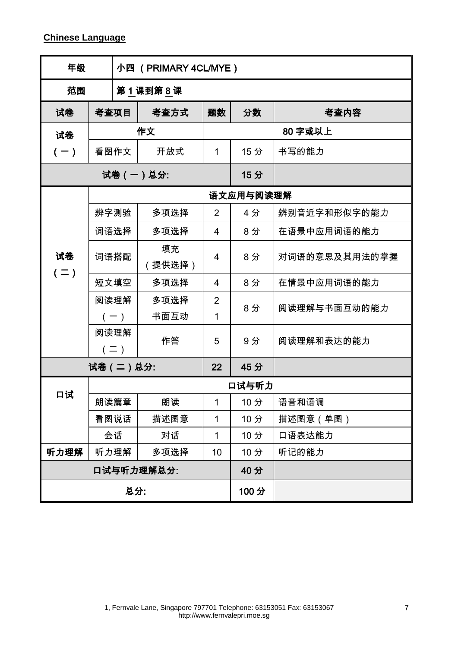| 年级            | 小四 (PRIMARY 4CL/MYE) |                          |              |                     |           |               |
|---------------|----------------------|--------------------------|--------------|---------------------|-----------|---------------|
| 范围            |                      |                          | 第1课到第8课      |                     |           |               |
| 试卷            |                      | 考查项目                     | 考查方式         | 题数                  | 分数        | 考查内容          |
| 试卷            |                      |                          | 作文           |                     |           | 80 字或以上       |
| $(-)$         |                      | 看图作文                     | 开放式          | 1                   | 15分       | 书写的能力         |
|               |                      |                          | 试卷(一)总分:     |                     | 15分       |               |
|               |                      |                          |              |                     | 语文应用与阅读理解 |               |
|               |                      | 辨字测验                     | 多项选择         | $\overline{2}$      | 4分        | 辨别音近字和形似字的能力  |
|               |                      | 词语选择                     | 多项选择         | $\overline{4}$      | 8分        | 在语景中应用词语的能力   |
| 试卷<br>$( = )$ |                      | 词语搭配                     | 填充<br>提供选择)  | $\overline{4}$      | 8分        | 对词语的意思及其用法的掌握 |
|               |                      | 短文填空                     | 多项选择         | $\overline{4}$      | 8分        | 在情景中应用词语的能力   |
|               |                      | 阅读理解<br>$(-)$            | 多项选择<br>书面互动 | $\overline{2}$<br>1 | 8分        | 阅读理解与书面互动的能力  |
|               |                      | 阅读理解<br>$($ $\equiv$ $)$ | 作答           | 5                   | 9分        | 阅读理解和表达的能力    |
|               |                      | 试卷 (二)总分:                |              | 22                  | 45分       |               |
|               |                      |                          |              |                     | 口试与听力     |               |
| 口试            |                      | 朗读篇章                     | 朗读           | 1                   | 10分       | 语音和语调         |
|               |                      | 看图说话                     | 描述图意         | 1                   | 10分       | 描述图意(单图)      |
|               |                      | 会话                       | 对话           | 1                   | 10分       | 口语表达能力        |
| 听力理解          |                      | 听力理解                     | 多项选择         | 10                  | 10分       | 听记的能力         |
| 口试与听力理解总分:    |                      |                          |              |                     | 40分       |               |
|               |                      | 总分:                      |              |                     | 100分      |               |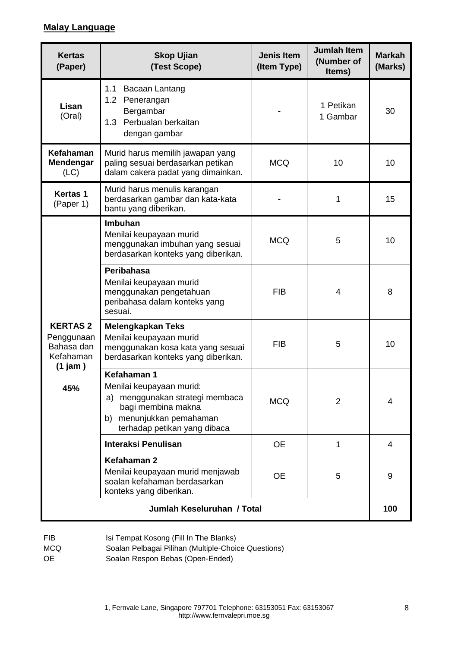### **Malay Language**

| <b>Kertas</b><br>(Paper)                                                         | <b>Skop Ujian</b><br>(Test Scope)                                                                                                                               | <b>Jenis Item</b><br>(Item Type) | <b>Jumlah Item</b><br>(Number of<br>Items) | <b>Markah</b><br>(Marks) |
|----------------------------------------------------------------------------------|-----------------------------------------------------------------------------------------------------------------------------------------------------------------|----------------------------------|--------------------------------------------|--------------------------|
| Lisan<br>(Oral)                                                                  | 1.1<br>Bacaan Lantang<br>1.2 Penerangan<br>Bergambar<br>Perbualan berkaitan<br>1.3<br>dengan gambar                                                             |                                  | 1 Petikan<br>1 Gambar                      | 30                       |
| Kefahaman<br><b>Mendengar</b><br>(LC)                                            | Murid harus memilih jawapan yang<br>paling sesuai berdasarkan petikan<br>dalam cakera padat yang dimainkan.                                                     | <b>MCQ</b>                       | 10                                         | 10                       |
| <b>Kertas 1</b><br>(Paper 1)                                                     | Murid harus menulis karangan<br>berdasarkan gambar dan kata-kata<br>bantu yang diberikan.                                                                       |                                  | 1                                          | 15                       |
|                                                                                  | <b>Imbuhan</b><br>Menilai keupayaan murid<br>menggunakan imbuhan yang sesuai<br>berdasarkan konteks yang diberikan.                                             | <b>MCQ</b>                       | 5                                          | 10                       |
| <b>KERTAS 2</b><br>Penggunaan<br>Bahasa dan<br>Kefahaman<br>$(1)$ jam $)$<br>45% | Peribahasa<br>Menilai keupayaan murid<br>menggunakan pengetahuan<br>peribahasa dalam konteks yang<br>sesuai.                                                    | <b>FIB</b>                       | 4                                          | 8                        |
|                                                                                  | <b>Melengkapkan Teks</b><br>Menilai keupayaan murid<br>menggunakan kosa kata yang sesuai<br>berdasarkan konteks yang diberikan.                                 | <b>FIB</b>                       | 5                                          | 10                       |
|                                                                                  | Kefahaman 1<br>Menilai keupayaan murid:<br>menggunakan strategi membaca<br>a)<br>bagi membina makna<br>b) menunjukkan pemahaman<br>terhadap petikan yang dibaca | <b>MCQ</b>                       | 2                                          | 4                        |
|                                                                                  | Interaksi Penulisan                                                                                                                                             | <b>OE</b>                        | 1                                          | 4                        |
|                                                                                  | Kefahaman 2<br>Menilai keupayaan murid menjawab<br>soalan kefahaman berdasarkan<br>konteks yang diberikan.                                                      | <b>OE</b>                        | 5                                          | 9                        |
|                                                                                  | Jumlah Keseluruhan / Total                                                                                                                                      |                                  |                                            | 100                      |

- FIB Isi Tempat Kosong (Fill In The Blanks)
- MCQ Soalan Pelbagai Pilihan (Multiple-Choice Questions)
- OE Soalan Respon Bebas (Open-Ended)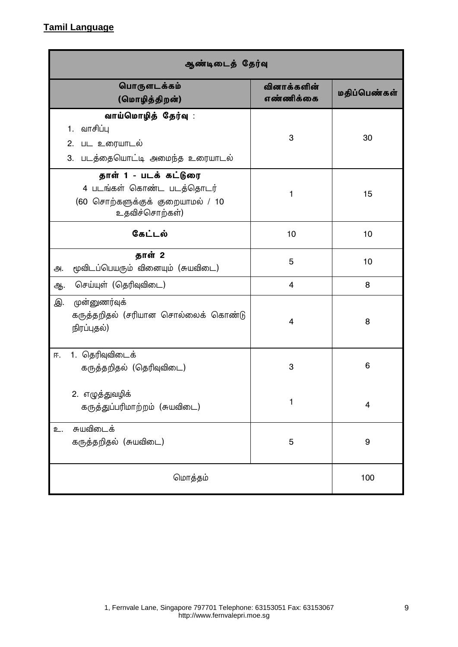# **Tamil Language**

| ஆண்டிடைத் தேர்வு                                                                                         |                          |              |  |  |  |
|----------------------------------------------------------------------------------------------------------|--------------------------|--------------|--|--|--|
| பொருளடக்கம்<br>(மொழித்திறன்)                                                                             | வினாக்களின்<br>எண்ணிக்கை | மதிப்பெண்கள் |  |  |  |
| வாய்மொழித் தேர்வு :<br>வாசிப்பு<br>1.<br>பட உரையாடல்<br>2.<br>படத்தையொட்டி அமைந்த உரையாடல்<br>3.         | 3                        | 30           |  |  |  |
| தாள் 1 - படக் கட்டுரை<br>4 படங்கள் கொண்ட படத்தொடர்<br>(60 சொற்களுக்குக் குறையாமல் / 10<br>உதவிச்சொற்கள்) | 1                        | 15           |  |  |  |
| கேட்டல்                                                                                                  | 10                       | 10           |  |  |  |
| தாள் 2<br>மூவிடப்பெயரும் வினையும் (சுயவிடை)<br>அ.                                                        | 5                        | 10           |  |  |  |
| செய்யுள் (தெரிவுவிடை)<br>ஆ.                                                                              | $\overline{\mathbf{4}}$  | 8            |  |  |  |
| முன்னுணர்வுக்<br>இ.<br>கருத்தறிதல் (சரியான சொல்லைக் கொண்டு<br>நிரப்புதல்)                                | 4                        | 8            |  |  |  |
| 1. தெரிவுவிடைக்<br>匝.<br>கருத்தறிதல் (தெரிவுவிடை)                                                        | 3                        | 6            |  |  |  |
| 2. எழுத்துவழிக்<br>கருத்துப்பரிமாற்றம் (சுயவிடை)                                                         | 1                        | 4            |  |  |  |
| சுயவிடைக்<br>உ.<br>கருத்தறிதல் (சுயவிடை)                                                                 | 5                        | 9            |  |  |  |
| மொத்தம்                                                                                                  |                          | 100          |  |  |  |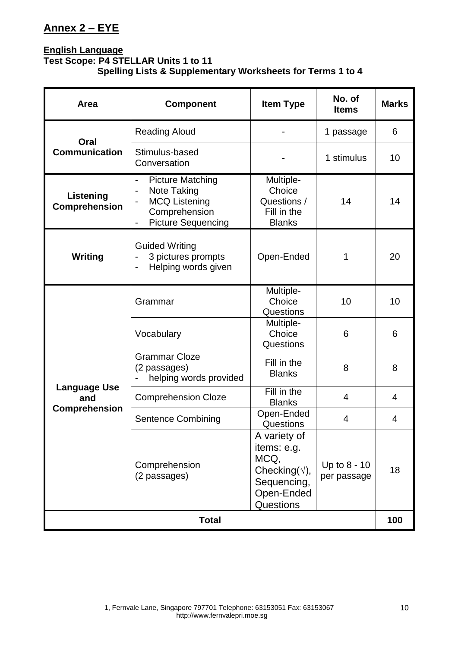# **Annex 2 – EYE**

### **English Language Test Scope: P4 STELLAR Units 1 to 11 Spelling Lists & Supplementary Worksheets for Terms 1 to 4**

| Area                              | <b>Component</b>                                                                                                                                                                 | <b>Item Type</b>                                                                                                | No. of<br><b>Items</b>      | <b>Marks</b> |
|-----------------------------------|----------------------------------------------------------------------------------------------------------------------------------------------------------------------------------|-----------------------------------------------------------------------------------------------------------------|-----------------------------|--------------|
| Oral                              | <b>Reading Aloud</b>                                                                                                                                                             |                                                                                                                 | 1 passage                   | 6            |
| <b>Communication</b>              | Stimulus-based<br>Conversation                                                                                                                                                   |                                                                                                                 | 1 stimulus                  | 10           |
| Listening<br><b>Comprehension</b> | <b>Picture Matching</b><br>$\blacksquare$<br>Note Taking<br>$\qquad \qquad \blacksquare$<br><b>MCQ Listening</b><br>Comprehension<br><b>Picture Sequencing</b><br>$\blacksquare$ | Multiple-<br>Choice<br>Questions /<br>Fill in the<br><b>Blanks</b>                                              | 14                          | 14           |
| <b>Writing</b>                    | <b>Guided Writing</b><br>3 pictures prompts<br>Helping words given<br>$\qquad \qquad \blacksquare$                                                                               | Open-Ended                                                                                                      | 1                           | 20           |
|                                   | Grammar                                                                                                                                                                          | Multiple-<br>Choice<br>Questions                                                                                | 10                          | 10           |
|                                   | Vocabulary                                                                                                                                                                       | Multiple-<br>Choice<br>Questions                                                                                | 6                           | 6            |
|                                   | <b>Grammar Cloze</b><br>(2 passages)<br>helping words provided                                                                                                                   | Fill in the<br><b>Blanks</b>                                                                                    | 8                           | 8            |
| <b>Language Use</b><br>and        | <b>Comprehension Cloze</b>                                                                                                                                                       | Fill in the<br><b>Blanks</b>                                                                                    | 4                           | 4            |
| <b>Comprehension</b>              | <b>Sentence Combining</b>                                                                                                                                                        | Open-Ended<br>Questions                                                                                         | 4                           | 4            |
|                                   | Comprehension<br>(2 passages)                                                                                                                                                    | A variety of<br>items: e.g.<br>MCQ,<br>Checking( $\sqrt{ }$ ),<br>Sequencing,<br>Open-Ended<br><b>Questions</b> | Up to 8 - 10<br>per passage | 18           |
|                                   | <b>Total</b>                                                                                                                                                                     |                                                                                                                 |                             | 100          |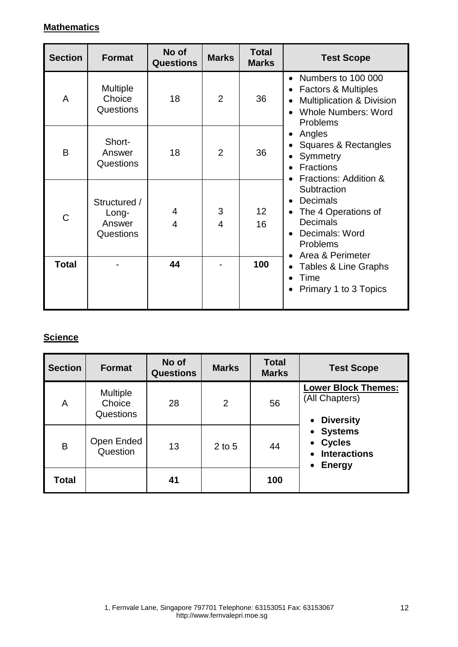## **Mathematics**

| <b>Section</b> | <b>Format</b>                                | No of<br><b>Questions</b> | <b>Marks</b>   | <b>Total</b><br><b>Marks</b> | <b>Test Scope</b>                                                                                                                                                                         |
|----------------|----------------------------------------------|---------------------------|----------------|------------------------------|-------------------------------------------------------------------------------------------------------------------------------------------------------------------------------------------|
| A              | Multiple<br>Choice<br>Questions              | 18                        | $\overline{2}$ | 36                           | Numbers to 100 000<br>$\bullet$<br><b>Factors &amp; Multiples</b><br>$\bullet$<br><b>Multiplication &amp; Division</b><br>٠<br><b>Whole Numbers: Word</b><br>$\bullet$<br><b>Problems</b> |
| B              | Short-<br>Answer<br>Questions                | 18                        | $\overline{2}$ | 36                           | Angles<br>٠<br>Squares & Rectangles<br>$\bullet$<br>Symmetry<br>$\bullet$<br><b>Fractions</b><br>$\bullet$<br>Fractions: Addition &                                                       |
| C              | Structured /<br>Long-<br>Answer<br>Questions | 4<br>4                    | 3<br>4         | 12 <sup>2</sup><br>16        | Subtraction<br><b>Decimals</b><br>$\bullet$<br>The 4 Operations of<br>$\bullet$<br><b>Decimals</b><br>Decimals: Word<br>$\bullet$<br><b>Problems</b><br>Area & Perimeter<br>$\bullet$     |
| Total          |                                              | 44                        |                | 100                          | Tables & Line Graphs<br>$\bullet$<br>Time<br>$\bullet$<br>Primary 1 to 3 Topics<br>$\bullet$                                                                                              |

# **Science**

| <b>Section</b> | <b>Format</b>                                 | No of<br><b>Questions</b> | <b>Marks</b>   | <b>Total</b><br><b>Marks</b> | <b>Test Scope</b>                                                       |
|----------------|-----------------------------------------------|---------------------------|----------------|------------------------------|-------------------------------------------------------------------------|
| Α              | <b>Multiple</b><br>Choice<br><b>Questions</b> | 28                        | $\overline{2}$ | 56                           | <b>Lower Block Themes:</b><br>(All Chapters)<br><b>Diversity</b>        |
| B              | Open Ended<br>Question                        | 13                        | $2$ to 5       | 44                           | <b>Systems</b><br><b>Cycles</b><br><b>Interactions</b><br><b>Energy</b> |
| Total          |                                               | 41                        |                | 100                          |                                                                         |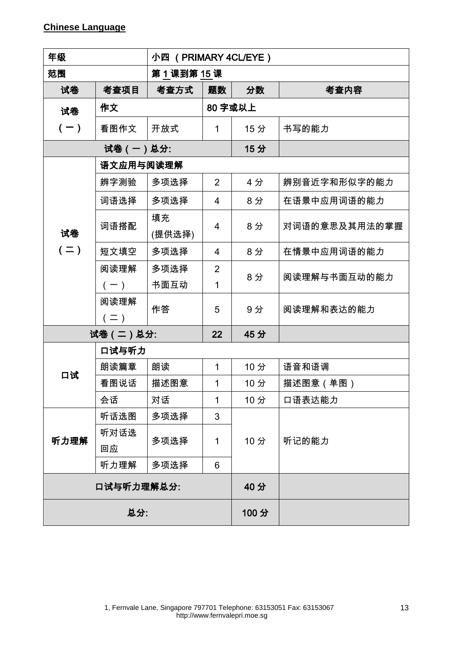| 年级            |                          | 小四 (PRIMARY 4CL/EYE) |                     |     |               |  |  |
|---------------|--------------------------|----------------------|---------------------|-----|---------------|--|--|
| 范围            |                          | 第1课到第15课             |                     |     |               |  |  |
| 试卷            | 考查项目                     | 考查方式                 | 题数                  | 分数  | 考查内容          |  |  |
| 试卷            | 作文                       |                      | 80 字或以上             |     |               |  |  |
| $(-)$         | 看图作文                     | 开放式                  | 1                   | 15分 | 书写的能力         |  |  |
| 试卷(一)总分:      |                          |                      |                     | 15分 |               |  |  |
|               | 语文应用与阅读理解                |                      |                     |     |               |  |  |
|               | 辨字测验                     | 多项选择                 | 2                   | 4分  | 辨别音近字和形似字的能力  |  |  |
|               | 词语选择                     | 多项选择                 | $\overline{4}$      | 8分  | 在语景中应用词语的能力   |  |  |
| 试卷<br>$( = )$ | 词语搭配                     | 填充<br>(提供选择)         | $\overline{4}$      | 8分  | 对词语的意思及其用法的掌握 |  |  |
|               | 短文填空                     | 多项选择                 | $\overline{4}$      | 8分  | 在情景中应用词语的能力   |  |  |
|               | 阅读理解<br>$(-)$            | 多项选择<br>书面互动         | $\overline{2}$<br>1 | 8分  | 阅读理解与书面互动的能力  |  |  |
|               | 阅读理解<br>$($ $\equiv$ $)$ | 作答                   | 5                   | 9分  | 阅读理解和表达的能力    |  |  |
| 试卷(二)总分:      |                          |                      | 22                  | 45分 |               |  |  |
|               | 口试与听力                    |                      |                     |     |               |  |  |
|               | 朗读篇章                     | 朗读                   | 1                   | 10分 | 语音和语调         |  |  |
| 口试            | 看图说话                     | 描述图意                 | 1                   | 10分 | 描述图意 (单图)     |  |  |
|               | 会话                       | 对话                   | 1                   | 10分 | 口语表达能力        |  |  |
| 听力理解          | 听话选图                     | 多项选择                 | 3                   | 10分 |               |  |  |
|               | 听对话选                     | 多项选择                 | 1                   |     | 听记的能力         |  |  |
|               | 回应                       |                      |                     |     |               |  |  |
|               | 听力理解                     | 多项选择                 | 6                   |     |               |  |  |
| 口试与听力理解总分:    |                          |                      |                     | 40分 |               |  |  |
| 总分:           |                          |                      | 100分                |     |               |  |  |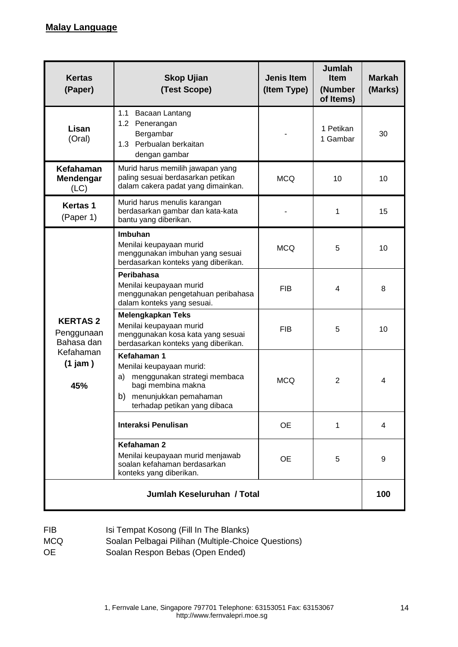| <b>Kertas</b><br>(Paper)                   | <b>Skop Ujian</b><br>(Test Scope)                                                                                                                                  | <b>Jenis Item</b><br>(Item Type) | <b>Jumlah</b><br><b>Item</b><br>(Number<br>of Items) | <b>Markah</b><br>(Marks) |  |
|--------------------------------------------|--------------------------------------------------------------------------------------------------------------------------------------------------------------------|----------------------------------|------------------------------------------------------|--------------------------|--|
| Lisan<br>(Oral)                            | 1.1 Bacaan Lantang<br>1.2 Penerangan<br>Bergambar<br>1.3 Perbualan berkaitan<br>dengan gambar                                                                      |                                  | 1 Petikan<br>1 Gambar                                | 30                       |  |
| Kefahaman<br>Mendengar<br>(LC)             | Murid harus memilih jawapan yang<br>paling sesuai berdasarkan petikan<br><b>MCQ</b><br>10<br>dalam cakera padat yang dimainkan.                                    |                                  |                                                      | 10                       |  |
| <b>Kertas 1</b><br>(Paper 1)               | Murid harus menulis karangan<br>berdasarkan gambar dan kata-kata<br>bantu yang diberikan.                                                                          |                                  | 1                                                    | 15                       |  |
|                                            | <b>Imbuhan</b><br>Menilai keupayaan murid<br>menggunakan imbuhan yang sesuai<br>berdasarkan konteks yang diberikan.                                                | <b>MCQ</b>                       | 5                                                    | 10                       |  |
|                                            | Peribahasa<br>Menilai keupayaan murid<br>menggunakan pengetahuan peribahasa<br>dalam konteks yang sesuai.                                                          | <b>FIB</b>                       | $\overline{4}$                                       | 8                        |  |
| <b>KERTAS2</b><br>Penggunaan<br>Bahasa dan | <b>Melengkapkan Teks</b><br>Menilai keupayaan murid<br>menggunakan kosa kata yang sesuai<br>berdasarkan konteks yang diberikan.                                    | <b>FIB</b>                       | 5                                                    | 10                       |  |
| Kefahaman<br>$(1)$ jam $)$<br>45%          | Kefahaman 1<br>Menilai keupayaan murid:<br>menggunakan strategi membaca<br>a)<br>bagi membina makna<br>b)<br>menunjukkan pemahaman<br>terhadap petikan yang dibaca | <b>MCQ</b>                       | $\overline{2}$                                       | $\overline{4}$           |  |
|                                            | Interaksi Penulisan                                                                                                                                                | <b>OE</b>                        | 1                                                    | 4                        |  |
|                                            | Kefahaman 2<br>Menilai keupayaan murid menjawab<br>soalan kefahaman berdasarkan<br>konteks yang diberikan.                                                         | <b>OE</b>                        | 5                                                    | 9                        |  |
| Jumlah Keseluruhan / Total                 |                                                                                                                                                                    |                                  |                                                      |                          |  |

| <b>FIB</b> | Isi Tempat Kosong (Fill In The Blanks)              |
|------------|-----------------------------------------------------|
| <b>MCQ</b> | Soalan Pelbagai Pilihan (Multiple-Choice Questions) |
| 0E         | Soalan Respon Bebas (Open Ended)                    |